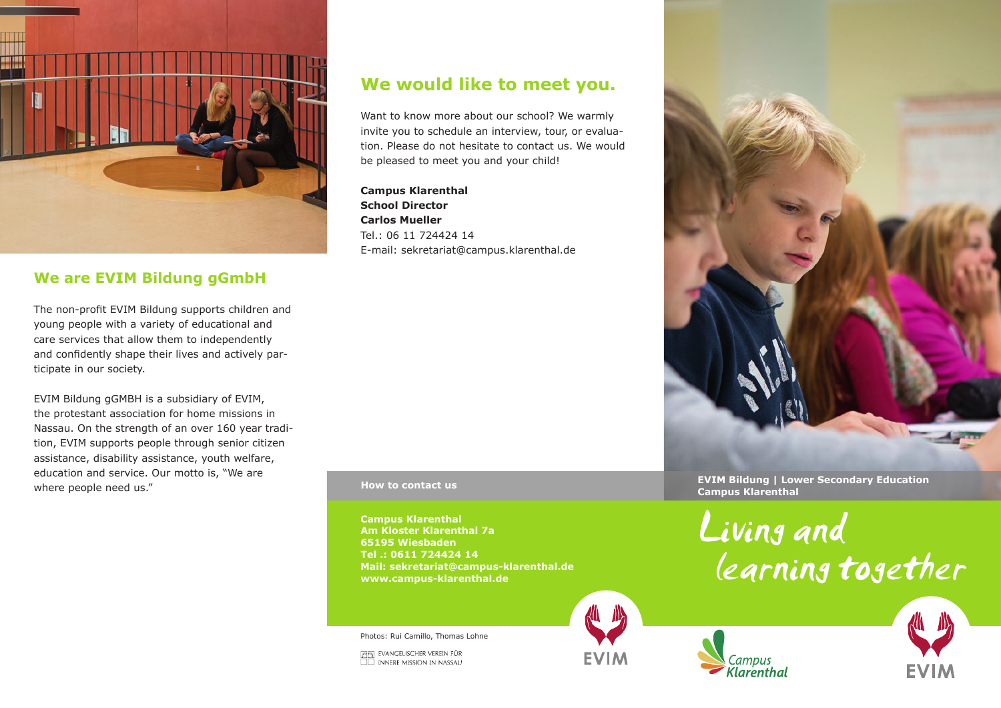

## **We are EVIM Bildung gGmbH**

The non-profit EVIM Bildung supports children and young people with a variety of educational and care services that allow them to independently and confidently shape their lives and actively participate in our society.

EVIM Bildung gGMBH is a subsidiary of EVIM, the protestant association for home missions in Nassau. On the strength of an over 160 year tradition, EVIM supports people through senior citizen assistance, disability assistance, youth welfare, education and service. Our motto is, "We are where people need us."

# **We would like to meet you.**

Want to know more about our school? We warmly invite you to schedule an interview, tour, or evaluation. Please do not hesitate to contact us. We would be pleased to meet you and your child!

**Campus Klarenthal School Director Carlos Mueller** Tel.: 06 11 724424 14 E-mail: sekretariat@campus.klarenthal.de

**Campus Klarenthal Am Kloster Klarenthal 7a 65195 Wiesbaden Tel .: 0611 724424 14 Mail: sekretariat@campus-klarenthal.de www.campus-klarenthal.de**

Photos: Rui Camillo, Thomas Lohne

**CO EVANGELISCHER VEREIN FÜR<br>ILL INNERE MISSION IN NASSAU** 



**FVIM** 



**EVIM Bildung | Lower Secondary Education CAMPUS HOW to contact us and the contact use of the contact use of the contact use of the contact use of the contact use of the contact use of the contact use of the contact use of the contact use of the contact use of th** 

Klarenthal

Living and learning together